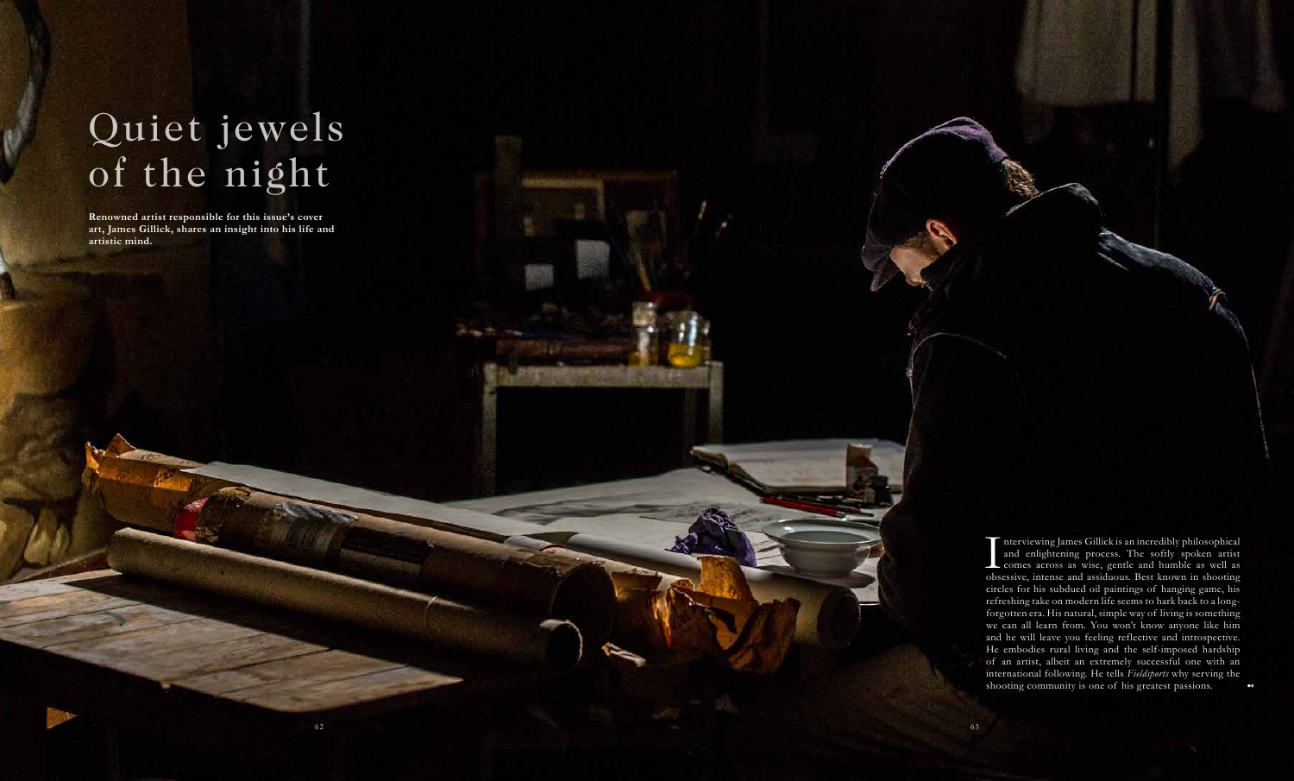# Quiet jewels of the night

 $\frac{1}{\omega}$ nterviewing James Gillick is an incredibly philosophical and enlightening process. The softly spoken artist comes across as wise, gentle and humble as well as obsessive, intense and assiduous. Best known in shooting circles for his subdued oil paintings of hanging game, his refreshing take on modern life seems to hark back to a longforgotten era. His natural, simple way of living is something we can all learn from. You won't know anyone like him and he will leave you feeling reflective and introspective. He embodies rural living and the self-imposed hardship of an artist, albeit an extremely successful one with an international following. He tells *Fieldsports* why serving the shooting community is one of his greatest passions.

**Renowned artist responsible for this issue's cover art, James Gillick, shares an insight into his life and artistic mind.**

➻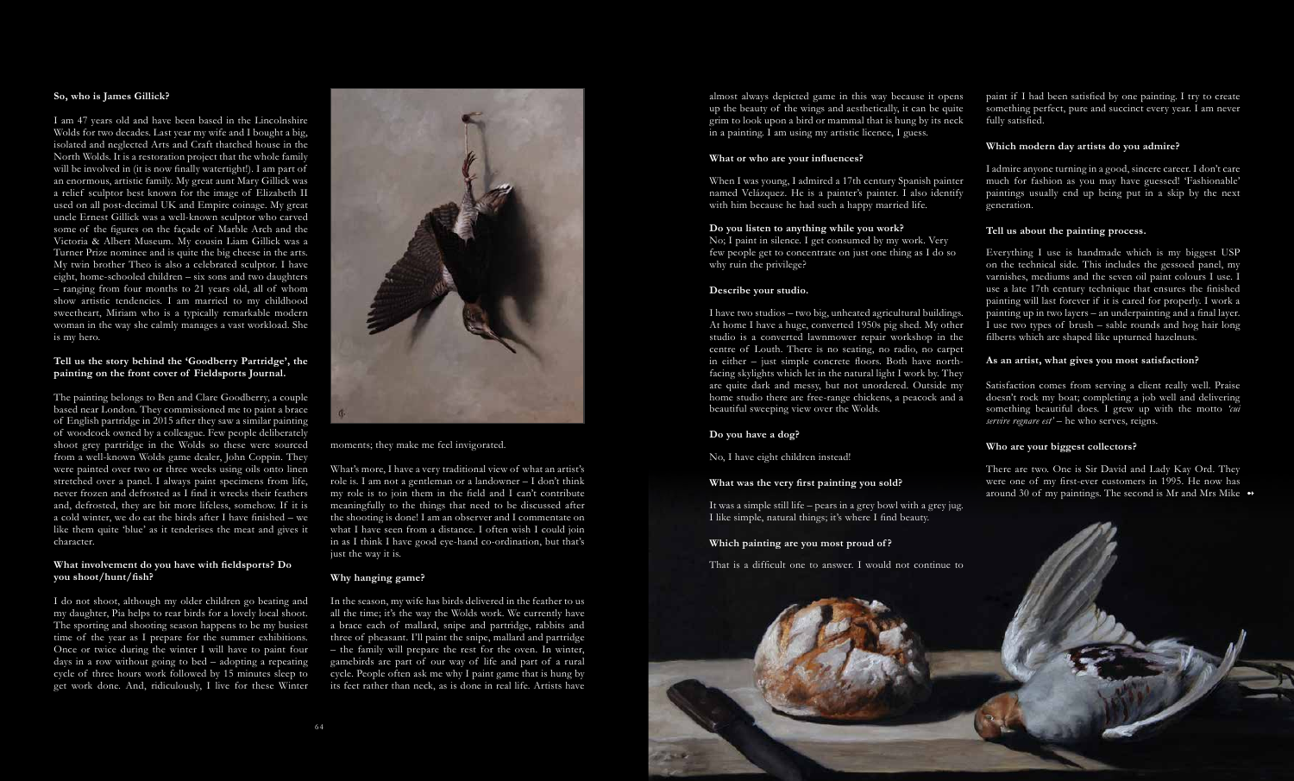

# **So, who is James Gillick?**

I am 47 years old and have been based in the Lincolnshire Wolds for two decades. Last year my wife and I bought a big, isolated and neglected Arts and Craft thatched house in the North Wolds. It is a restoration project that the whole family will be involved in (it is now finally watertight!). I am part of an enormous, artistic family. My great aunt Mary Gillick was a relief sculptor best known for the image of Elizabeth II used on all post-decimal UK and Empire coinage. My great uncle Ernest Gillick was a well-known sculptor who carved some of the figures on the façade of Marble Arch and the Victoria & Albert Museum. My cousin Liam Gillick was a Turner Prize nominee and is quite the big cheese in the arts. My twin brother Theo is also a celebrated sculptor. I have eight, home-schooled children – six sons and two daughters – ranging from four months to 21 years old, all of whom show artistic tendencies. I am married to my childhood sweetheart, Miriam who is a typically remarkable modern woman in the way she calmly manages a vast workload. She is my hero.

# **Tell us the story behind the 'Goodberry Partridge', the painting on the front cover of Fieldsports Journal.**

What's more, I have a very traditional view of what an artist's role is. I am not a gentleman or a landowner – I don't think my role is to join them in the field and I can't contribute meaningfully to the things that need to be discussed after the shooting is done! I am an observer and I commentate on what I have seen from a distance. I often wish I could join in as I think I have good eye-hand co-ordination, but that's just the way it is.

The painting belongs to Ben and Clare Goodberry, a couple based near London. They commissioned me to paint a brace of English partridge in 2015 after they saw a similar painting of woodcock owned by a colleague. Few people deliberately shoot grey partridge in the Wolds so these were sourced from a well-known Wolds game dealer, John Coppin. They were painted over two or three weeks using oils onto linen stretched over a panel. I always paint specimens from life, never frozen and defrosted as I find it wrecks their feathers and, defrosted, they are bit more lifeless, somehow. If it is a cold winter, we do eat the birds after I have finished – we like them quite 'blue' as it tenderises the meat and gives it character.

When I was young, I admired a 17th century Spanish painter named Velázquez. He is a painter's painter. I also identify with him because he had such a happy married life.

### **What involvement do you have with fieldsports? Do you shoot/hunt/fish?**

few people get to concentrate on just one thing as I do so why ruin the privilege?

I do not shoot, although my older children go beating and my daughter, Pia helps to rear birds for a lovely local shoot. The sporting and shooting season happens to be my busiest time of the year as I prepare for the summer exhibitions. Once or twice during the winter I will have to paint four days in a row without going to bed – adopting a repeating cycle of three hours work followed by 15 minutes sleep to get work done. And, ridiculously, I live for these Winter



moments; they make me feel invigorated.

# **Why hanging game?**

There are two. One is Sir David and Lady Kay Ord. They were one of my first-ever customers in 1995. He now has around 30 of my paintings. The second is Mr and Mrs Mike  $\rightarrow$ 

In the season, my wife has birds delivered in the feather to us all the time; it's the way the Wolds work. We currently have a brace each of mallard, snipe and partridge, rabbits and three of pheasant. I'll paint the snipe, mallard and partridge – the family will prepare the rest for the oven. In winter, gamebirds are part of our way of life and part of a rural cycle. People often ask me why I paint game that is hung by its feet rather than neck, as is done in real life. Artists have almost always depicted game in this way because it opens up the beauty of the wings and aesthetically, it can be quite grim to look upon a bird or mammal that is hung by its neck in a painting. I am using my artistic licence, I guess.

### **What or who are your influences?**

**Do you listen to anything while you work?** No; I paint in silence. I get consumed by my work. Very

# **Describe your studio.**

I have two studios – two big, unheated agricultural buildings. At home I have a huge, converted 1950s pig shed. My other studio is a converted lawnmower repair workshop in the centre of Louth. There is no seating, no radio, no carpet in either – just simple concrete floors. Both have northfacing skylights which let in the natural light I work by. They are quite dark and messy, but not unordered. Outside my home studio there are free-range chickens, a peacock and a beautiful sweeping view over the Wolds.

# **Do you have a dog?**

No, I have eight children instead!

# **What was the very first painting you sold?**

It was a simple still life – pears in a grey bowl with a grey jug. I like simple, natural things; it's where I find beauty.

### **Which painting are you most proud of ?**

That is a difficult one to answer. I would not continue to

paint if I had been satisfied by one painting. I try to create something perfect, pure and succinct every year. I am never fully satisfied.

### **Which modern day artists do you admire?**

I admire anyone turning in a good, sincere career. I don't care much for fashion as you may have guessed! 'Fashionable' paintings usually end up being put in a skip by the next generation.

# **Tell us about the painting process.**

Everything I use is handmade which is my biggest USP on the technical side. This includes the gessoed panel, my varnishes, mediums and the seven oil paint colours I use. I use a late 17th century technique that ensures the finished painting will last forever if it is cared for properly. I work a painting up in two layers – an underpainting and a final layer. I use two types of brush – sable rounds and hog hair long filberts which are shaped like upturned hazelnuts.

# **As an artist, what gives you most satisfaction?**

Satisfaction comes from serving a client really well. Praise doesn't rock my boat; completing a job well and delivering something beautiful does. I grew up with the motto *'cui servire regnare est'* – he who serves, reigns.

### **Who are your biggest collectors?**